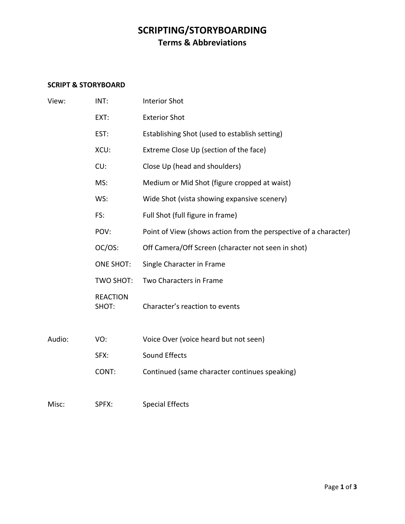# **SCRIPTING/STORYBOARDING Terms & Abbreviations**

### **SCRIPT & STORYBOARD**

| View:  | INT:                     | <b>Interior Shot</b>                                             |
|--------|--------------------------|------------------------------------------------------------------|
|        | EXT:                     | <b>Exterior Shot</b>                                             |
|        | EST:                     | Establishing Shot (used to establish setting)                    |
|        | XCU:                     | Extreme Close Up (section of the face)                           |
|        | CU:                      | Close Up (head and shoulders)                                    |
|        | MS:                      | Medium or Mid Shot (figure cropped at waist)                     |
|        | WS:                      | Wide Shot (vista showing expansive scenery)                      |
|        | FS:                      | Full Shot (full figure in frame)                                 |
|        | POV:                     | Point of View (shows action from the perspective of a character) |
|        | OC/OS:                   | Off Camera/Off Screen (character not seen in shot)               |
|        | <b>ONE SHOT:</b>         | Single Character in Frame                                        |
|        | TWO SHOT:                | Two Characters in Frame                                          |
|        | <b>REACTION</b><br>SHOT: | Character's reaction to events                                   |
| Audio: | VO:                      | Voice Over (voice heard but not seen)                            |
|        | SFX:                     | Sound Effects                                                    |
|        | CONT:                    | Continued (same character continues speaking)                    |
| Misc:  | SPFX:                    | <b>Special Effects</b>                                           |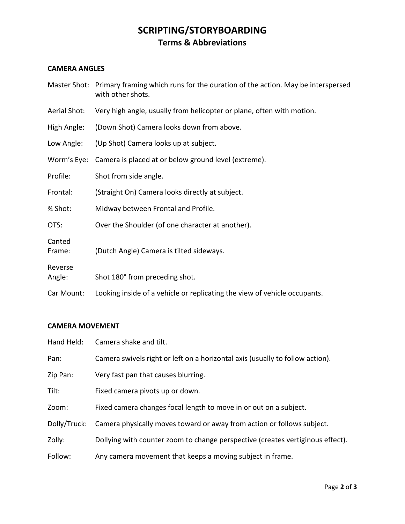### **SCRIPTING/STORYBOARDING Terms & Abbreviations**

#### **CAMERA ANGLES**

|                   | Master Shot: Primary framing which runs for the duration of the action. May be interspersed<br>with other shots. |  |
|-------------------|------------------------------------------------------------------------------------------------------------------|--|
| Aerial Shot:      | Very high angle, usually from helicopter or plane, often with motion.                                            |  |
| High Angle:       | (Down Shot) Camera looks down from above.                                                                        |  |
| Low Angle:        | (Up Shot) Camera looks up at subject.                                                                            |  |
| Worm's Eye:       | Camera is placed at or below ground level (extreme).                                                             |  |
| Profile:          | Shot from side angle.                                                                                            |  |
| Frontal:          | (Straight On) Camera looks directly at subject.                                                                  |  |
| % Shot:           | Midway between Frontal and Profile.                                                                              |  |
| OTS:              | Over the Shoulder (of one character at another).                                                                 |  |
| Canted<br>Frame:  | (Dutch Angle) Camera is tilted sideways.                                                                         |  |
| Reverse<br>Angle: | Shot 180° from preceding shot.                                                                                   |  |
| Car Mount:        | Looking inside of a vehicle or replicating the view of vehicle occupants.                                        |  |

#### **CAMERA MOVEMENT**

| Hand Held:   | Camera shake and tilt.                                                         |  |
|--------------|--------------------------------------------------------------------------------|--|
| Pan:         | Camera swivels right or left on a horizontal axis (usually to follow action).  |  |
| Zip Pan:     | Very fast pan that causes blurring.                                            |  |
| Tilt:        | Fixed camera pivots up or down.                                                |  |
| Zoom:        | Fixed camera changes focal length to move in or out on a subject.              |  |
| Dolly/Truck: | Camera physically moves toward or away from action or follows subject.         |  |
| Zolly:       | Dollying with counter zoom to change perspective (creates vertiginous effect). |  |
| Follow:      | Any camera movement that keeps a moving subject in frame.                      |  |